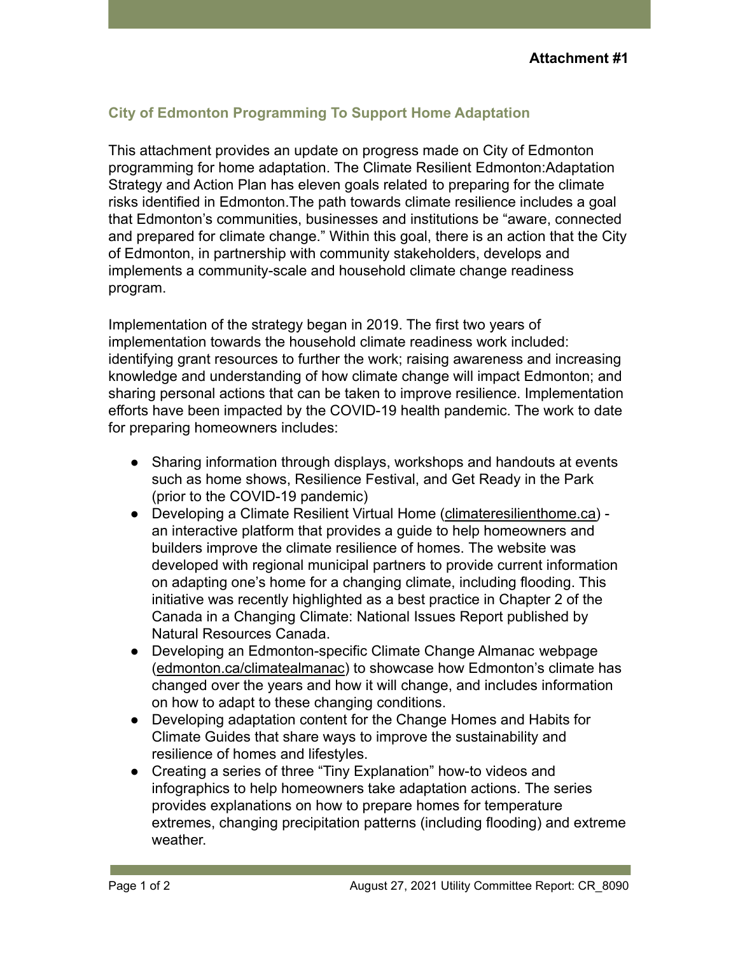## **City of Edmonton Programming To Support Home Adaptation**

This attachment provides an update on progress made on City of Edmonton programming for home adaptation. The Climate Resilient Edmonton:Adaptation Strategy and Action Plan has eleven goals related to preparing for the climate risks identified in Edmonton.The path towards climate resilience includes a goal that Edmonton's communities, businesses and institutions be "aware, connected and prepared for climate change." Within this goal, there is an action that the City of Edmonton, in partnership with community stakeholders, develops and implements a community-scale and household climate change readiness program.

Implementation of the strategy began in 2019. The first two years of implementation towards the household climate readiness work included: identifying grant resources to further the work; raising awareness and increasing knowledge and understanding of how climate change will impact Edmonton; and sharing personal actions that can be taken to improve resilience. Implementation efforts have been impacted by the COVID-19 health pandemic. The work to date for preparing homeowners includes:

- Sharing information through displays, workshops and handouts at events such as home shows, Resilience Festival, and Get Ready in the Park (prior to the COVID-19 pandemic)
- Developing a Climate Resilient Virtual Home (climateresilienthome.ca) an interactive platform that provides a guide to help homeowners and builders improve the climate resilience of homes. The website was developed with regional municipal partners to provide current information on adapting one's home for a changing climate, including flooding. This initiative was recently highlighted as a best practice in Chapter 2 of the Canada in a Changing Climate: National Issues Report published by Natural Resources Canada.
- Developing an Edmonton-specific Climate Change Almanac webpage ([edmonton.ca/climatealmanac](http://edmonton.ca/climatealmanac)) to showcase how Edmonton's climate has changed over the years and how it will change, and includes information on how to adapt to these changing conditions.
- Developing adaptation content for the Change Homes and Habits for Climate Guides that share ways to improve the sustainability and resilience of homes and lifestyles.
- Creating a series of three "Tiny Explanation" how-to videos and infographics to help homeowners take adaptation actions. The series provides explanations on how to prepare homes for temperature extremes, changing precipitation patterns (including flooding) and extreme weather.